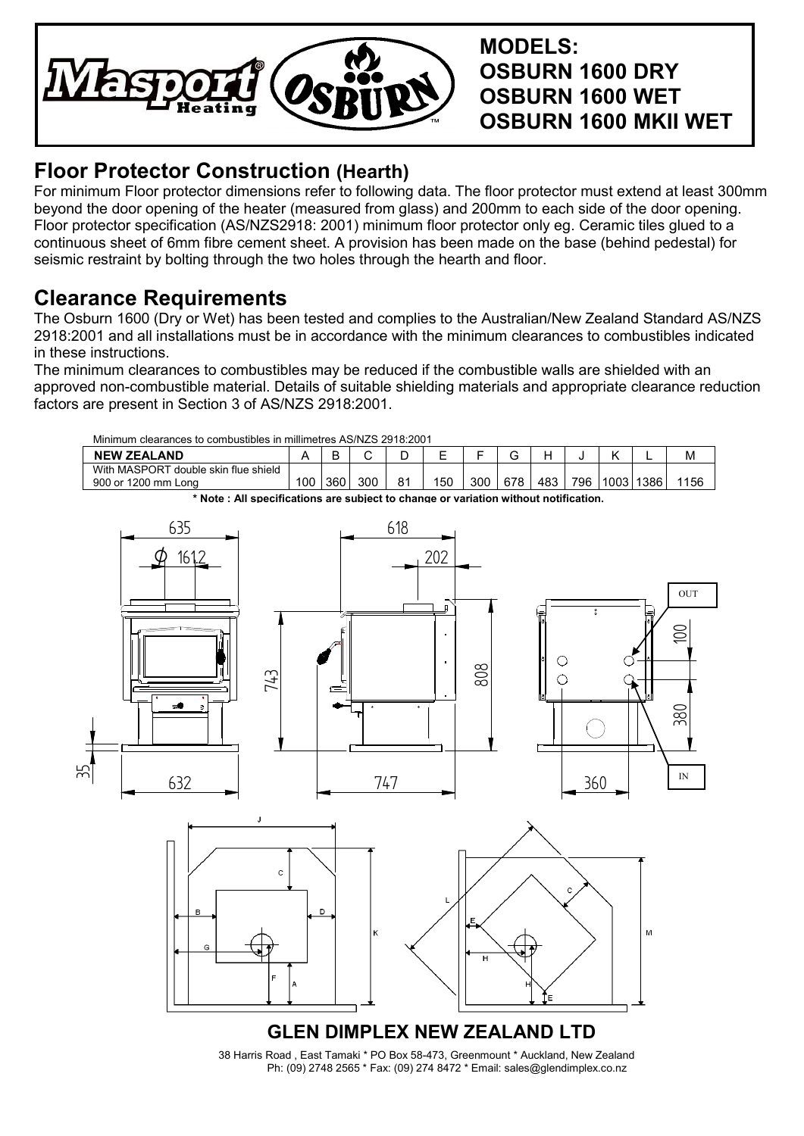

**MODELS: OSBURN 1600 DRY OSBURN 1600 WET OSBURN 1600 MKII WET**

## **Floor Protector Construction (Hearth)**

For minimum Floor protector dimensions refer to following data. The floor protector must extend at least 300mm beyond the door opening of the heater (measured from glass) and 200mm to each side of the door opening. Floor protector specification (AS/NZS2918: 2001) minimum floor protector only eg. Ceramic tiles glued to a continuous sheet of 6mm fibre cement sheet. A provision has been made on the base (behind pedestal) for seismic restraint by bolting through the two holes through the hearth and floor.

## **Clearance Requirements**

The Osburn 1600 (Dry or Wet) has been tested and complies to the Australian/New Zealand Standard AS/NZS 2918:2001 and all installations must be in accordance with the minimum clearances to combustibles indicated in these instructions.

The minimum clearances to combustibles may be reduced if the combustible walls are shielded with an approved non-combustible material. Details of suitable shielding materials and appropriate clearance reduction factors are present in Section 3 of AS/NZS 2918:2001.

| Minimum clearances to combustibles in millimetres AS/NZS 2918:2001 |  |  |  |
|--------------------------------------------------------------------|--|--|--|
|                                                                    |  |  |  |

| <b>NEW ZEALAND</b>                                                                  |     |     |     |    | F<br>– |     |     |     |     |             |  | M    |
|-------------------------------------------------------------------------------------|-----|-----|-----|----|--------|-----|-----|-----|-----|-------------|--|------|
| With MASPORT double skin flue shield<br>900 or 1200 mm<br>Long                      | 00ا | 360 | 300 | 81 | 150    | 300 | 678 | 483 | 796 | 1003   1386 |  | 1156 |
| * Note: All specifications are subiect to change or variation without notification. |     |     |     |    |        |     |     |     |     |             |  |      |



Ph: (09) 2748 2565 \* Fax: (09) 274 8472 \* Email: sales@glendimplex.co.nz 38 Harris Road , East Tamaki \* PO Box 58-473, Greenmount \* Auckland, New Zealand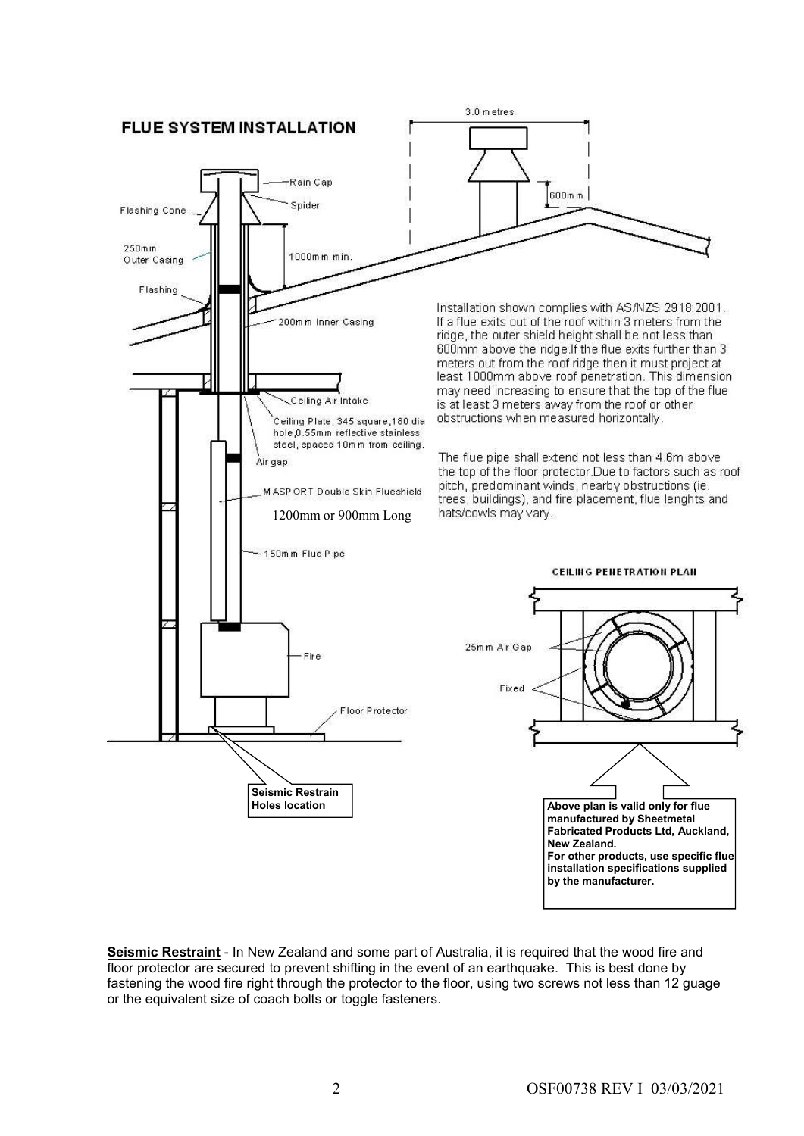

**Seismic Restraint** - In New Zealand and some part of Australia, it is required that the wood fire and floor protector are secured to prevent shifting in the event of an earthquake. This is best done by fastening the wood fire right through the protector to the floor, using two screws not less than 12 guage or the equivalent size of coach bolts or toggle fasteners.